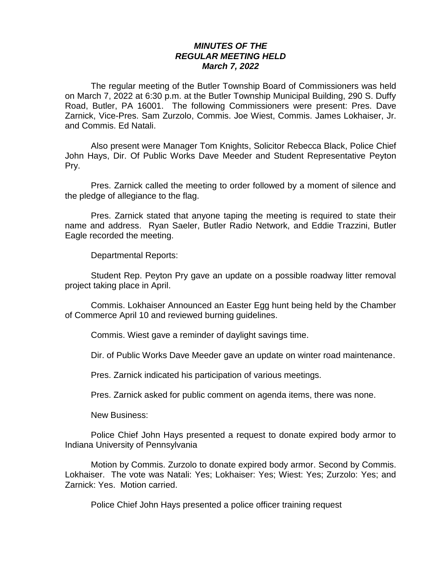## *MINUTES OF THE REGULAR MEETING HELD March 7, 2022*

The regular meeting of the Butler Township Board of Commissioners was held on March 7, 2022 at 6:30 p.m. at the Butler Township Municipal Building, 290 S. Duffy Road, Butler, PA 16001. The following Commissioners were present: Pres. Dave Zarnick, Vice-Pres. Sam Zurzolo, Commis. Joe Wiest, Commis. James Lokhaiser, Jr. and Commis. Ed Natali.

Also present were Manager Tom Knights, Solicitor Rebecca Black, Police Chief John Hays, Dir. Of Public Works Dave Meeder and Student Representative Peyton Pry.

Pres. Zarnick called the meeting to order followed by a moment of silence and the pledge of allegiance to the flag.

Pres. Zarnick stated that anyone taping the meeting is required to state their name and address. Ryan Saeler, Butler Radio Network, and Eddie Trazzini, Butler Eagle recorded the meeting.

Departmental Reports:

Student Rep. Peyton Pry gave an update on a possible roadway litter removal project taking place in April.

Commis. Lokhaiser Announced an Easter Egg hunt being held by the Chamber of Commerce April 10 and reviewed burning guidelines.

Commis. Wiest gave a reminder of daylight savings time.

Dir. of Public Works Dave Meeder gave an update on winter road maintenance.

Pres. Zarnick indicated his participation of various meetings.

Pres. Zarnick asked for public comment on agenda items, there was none.

New Business:

Police Chief John Hays presented a request to donate expired body armor to Indiana University of Pennsylvania

Motion by Commis. Zurzolo to donate expired body armor. Second by Commis. Lokhaiser. The vote was Natali: Yes; Lokhaiser: Yes; Wiest: Yes; Zurzolo: Yes; and Zarnick: Yes. Motion carried.

Police Chief John Hays presented a police officer training request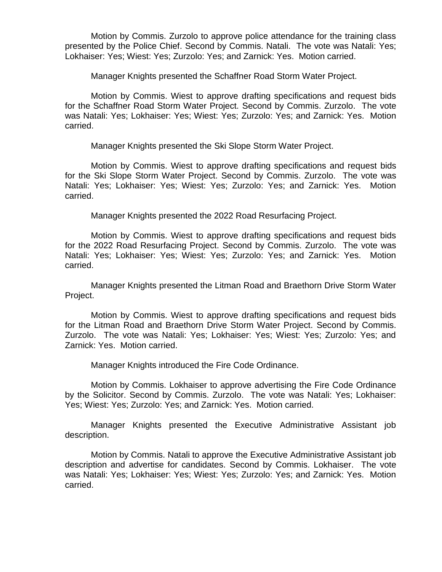Motion by Commis. Zurzolo to approve police attendance for the training class presented by the Police Chief. Second by Commis. Natali. The vote was Natali: Yes; Lokhaiser: Yes; Wiest: Yes; Zurzolo: Yes; and Zarnick: Yes. Motion carried.

Manager Knights presented the Schaffner Road Storm Water Project.

Motion by Commis. Wiest to approve drafting specifications and request bids for the Schaffner Road Storm Water Project. Second by Commis. Zurzolo. The vote was Natali: Yes; Lokhaiser: Yes; Wiest: Yes; Zurzolo: Yes; and Zarnick: Yes. Motion carried.

Manager Knights presented the Ski Slope Storm Water Project.

Motion by Commis. Wiest to approve drafting specifications and request bids for the Ski Slope Storm Water Project. Second by Commis. Zurzolo. The vote was Natali: Yes; Lokhaiser: Yes; Wiest: Yes; Zurzolo: Yes; and Zarnick: Yes. Motion carried.

Manager Knights presented the 2022 Road Resurfacing Project.

Motion by Commis. Wiest to approve drafting specifications and request bids for the 2022 Road Resurfacing Project. Second by Commis. Zurzolo. The vote was Natali: Yes; Lokhaiser: Yes; Wiest: Yes; Zurzolo: Yes; and Zarnick: Yes. Motion carried.

Manager Knights presented the Litman Road and Braethorn Drive Storm Water Project.

Motion by Commis. Wiest to approve drafting specifications and request bids for the Litman Road and Braethorn Drive Storm Water Project. Second by Commis. Zurzolo. The vote was Natali: Yes; Lokhaiser: Yes; Wiest: Yes; Zurzolo: Yes; and Zarnick: Yes. Motion carried.

Manager Knights introduced the Fire Code Ordinance.

Motion by Commis. Lokhaiser to approve advertising the Fire Code Ordinance by the Solicitor. Second by Commis. Zurzolo. The vote was Natali: Yes; Lokhaiser: Yes; Wiest: Yes; Zurzolo: Yes; and Zarnick: Yes. Motion carried.

Manager Knights presented the Executive Administrative Assistant job description.

Motion by Commis. Natali to approve the Executive Administrative Assistant job description and advertise for candidates. Second by Commis. Lokhaiser. The vote was Natali: Yes; Lokhaiser: Yes; Wiest: Yes; Zurzolo: Yes; and Zarnick: Yes. Motion carried.